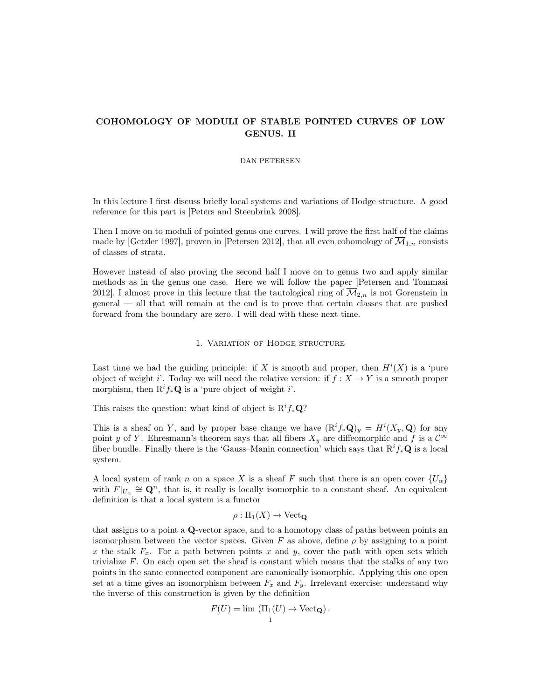# COHOMOLOGY OF MODULI OF STABLE POINTED CURVES OF LOW GENUS. II

# DAN PETERSEN

In this lecture I first discuss briefly local systems and variations of Hodge structure. A good reference for this part is [Peters and Steenbrink 2008].

Then I move on to moduli of pointed genus one curves. I will prove the first half of the claims made by [Getzler 1997], proven in [Petersen 2012], that all even cohomology of  $\mathcal{M}_{1,n}$  consists of classes of strata.

However instead of also proving the second half I move on to genus two and apply similar methods as in the genus one case. Here we will follow the paper [Petersen and Tommasi 2012]. I almost prove in this lecture that the tautological ring of  $\overline{\mathcal{M}}_{2,n}$  is not Gorenstein in general — all that will remain at the end is to prove that certain classes that are pushed forward from the boundary are zero. I will deal with these next time.

#### 1. Variation of Hodge structure

Last time we had the guiding principle: if X is smooth and proper, then  $H^{i}(X)$  is a 'pure object of weight i'. Today we will need the relative version: if  $f : X \to Y$  is a smooth proper morphism, then  $\mathbb{R}^i f_* \mathbf{Q}$  is a 'pure object of weight i'.

This raises the question: what kind of object is  $\mathbb{R}^{i} f_{*} \mathbb{Q}$ ?

This is a sheaf on Y, and by proper base change we have  $(\mathbb{R}^i f_* \mathbf{Q})_y = H^i(X_y, \mathbf{Q})$  for any point y of Y. Ehresmann's theorem says that all fibers  $X_y$  are diffeomorphic and f is a  $\mathcal{C}^{\infty}$ fiber bundle. Finally there is the 'Gauss–Manin connection' which says that  $\mathbb{R}^i f_*\mathbb{Q}$  is a local system.

A local system of rank n on a space X is a sheaf F such that there is an open cover  $\{U_{\alpha}\}\$ with  $F|_{U_{\alpha}} \cong \mathbf{Q}^n$ , that is, it really is locally isomorphic to a constant sheaf. An equivalent definition is that a local system is a functor

$$
\rho: \Pi_1(X) \to \mathrm{Vect}_\mathbf{Q}
$$

that assigns to a point a Q-vector space, and to a homotopy class of paths between points an isomorphism between the vector spaces. Given F as above, define  $\rho$  by assigning to a point x the stalk  $F_x$ . For a path between points x and y, cover the path with open sets which trivialize  $F$ . On each open set the sheaf is constant which means that the stalks of any two points in the same connected component are canonically isomorphic. Applying this one open set at a time gives an isomorphism between  $F_x$  and  $F_y$ . Irrelevant exercise: understand why the inverse of this construction is given by the definition

$$
F(U) = \lim_{\substack{\longrightarrow \\ 1}} (\Pi_1(U) \to \text{Vect}_{\mathbf{Q}}).
$$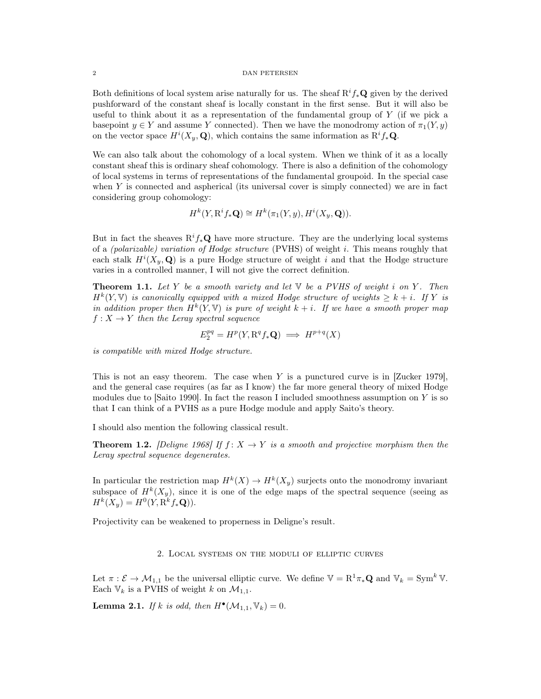Both definitions of local system arise naturally for us. The sheaf  $R^if_*\mathbf{Q}$  given by the derived pushforward of the constant sheaf is locally constant in the first sense. But it will also be useful to think about it as a representation of the fundamental group of  $Y$  (if we pick a basepoint  $y \in Y$  and assume Y connected). Then we have the monodromy action of  $\pi_1(Y, y)$ on the vector space  $H^{i}(X_{y}, \mathbf{Q})$ , which contains the same information as  $\mathbb{R}^{i} f_{*} \mathbf{Q}$ .

We can also talk about the cohomology of a local system. When we think of it as a locally constant sheaf this is ordinary sheaf cohomology. There is also a definition of the cohomology of local systems in terms of representations of the fundamental groupoid. In the special case when  $Y$  is connected and aspherical (its universal cover is simply connected) we are in fact considering group cohomology:

$$
H^k(Y, \mathbf{R}^i f_* \mathbf{Q}) \cong H^k(\pi_1(Y, y), H^i(X_y, \mathbf{Q})).
$$

But in fact the sheaves  $\mathbb{R}^i f_*\mathbb{Q}$  have more structure. They are the underlying local systems of a *(polarizable)* variation of Hodge structure *(PVHS)* of weight i. This means roughly that each stalk  $H^{i}(X_{y}, \mathbf{Q})$  is a pure Hodge structure of weight i and that the Hodge structure varies in a controlled manner, I will not give the correct definition.

**Theorem 1.1.** Let Y be a smooth variety and let  $\mathbb{V}$  be a PVHS of weight i on Y. Then  $H^k(Y, V)$  is canonically equipped with a mixed Hodge structure of weights  $\geq k + i$ . If Y is in addition proper then  $H^k(Y, V)$  is pure of weight  $k + i$ . If we have a smooth proper map  $f: X \to Y$  then the Leray spectral sequence

$$
E_2^{pq} = H^p(Y, \mathbf{R}^q f_* \mathbf{Q}) \implies H^{p+q}(X)
$$

is compatible with mixed Hodge structure.

This is not an easy theorem. The case when Y is a punctured curve is in [Zucker 1979], and the general case requires (as far as I know) the far more general theory of mixed Hodge modules due to  $[$ Saito 1990 $]$ . In fact the reason I included smoothness assumption on Y is so that I can think of a PVHS as a pure Hodge module and apply Saito's theory.

I should also mention the following classical result.

**Theorem 1.2.** [Deligne 1968] If  $f: X \to Y$  is a smooth and projective morphism then the Leray spectral sequence degenerates.

In particular the restriction map  $H^k(X) \to H^k(X_y)$  surjects onto the monodromy invariant subspace of  $H^k(X_y)$ , since it is one of the edge maps of the spectral sequence (seeing as  $H^{k}(X_{y}) = H^{0}(Y, \mathbf{R}^{k} f_{*} \mathbf{Q})).$ 

Projectivity can be weakened to properness in Deligne's result.

## 2. Local systems on the moduli of elliptic curves

Let  $\pi : \mathcal{E} \to \mathcal{M}_{1,1}$  be the universal elliptic curve. We define  $\mathbb{V} = \mathbb{R}^1 \pi_* \mathbf{Q}$  and  $\mathbb{V}_k = \text{Sym}^k \mathbb{V}$ . Each  $V_k$  is a PVHS of weight k on  $\mathcal{M}_{1,1}$ .

**Lemma 2.1.** If k is odd, then  $H^{\bullet}(\mathcal{M}_{1,1}, \mathbb{V}_k) = 0$ .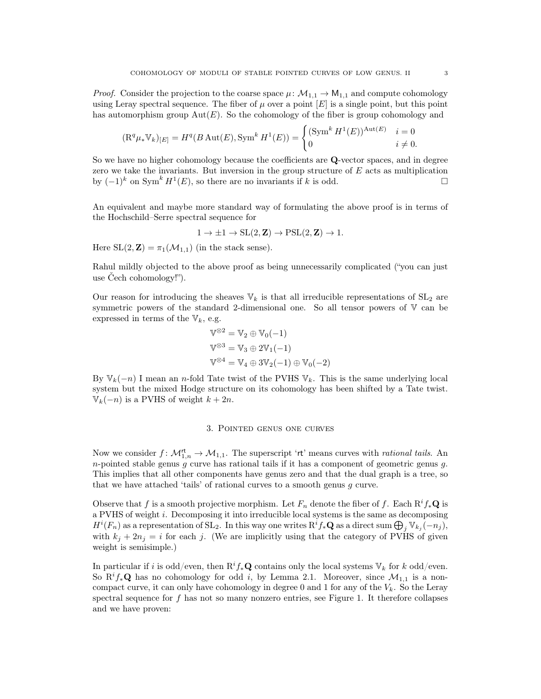*Proof.* Consider the projection to the coarse space  $\mu$ :  $\mathcal{M}_{1,1} \to M_{1,1}$  and compute cohomology using Leray spectral sequence. The fiber of  $\mu$  over a point  $|E|$  is a single point, but this point has automorphism group  $Aut(E)$ . So the cohomology of the fiber is group cohomology and

$$
(\mathcal{R}^q \mu_* \mathbb{V}_k)_{[E]} = H^q(B \operatorname{Aut}(E), \operatorname{Sym}^k H^1(E)) = \begin{cases} (\operatorname{Sym}^k H^1(E))^{\operatorname{Aut}(E)} & i = 0\\ 0 & i \neq 0. \end{cases}
$$

So we have no higher cohomology because the coefficients are Q-vector spaces, and in degree zero we take the invariants. But inversion in the group structure of  $E$  acts as multiplication by  $(-1)^k$  on Sym<sup>k</sup>  $H^1(E)$ , so there are no invariants if k is odd.

An equivalent and maybe more standard way of formulating the above proof is in terms of the Hochschild–Serre spectral sequence for

$$
1 \to \pm 1 \to SL(2, \mathbf{Z}) \to PSL(2, \mathbf{Z}) \to 1.
$$

Here  $SL(2, \mathbb{Z}) = \pi_1(\mathcal{M}_{1,1})$  (in the stack sense).

Rahul mildly objected to the above proof as being unnecessarily complicated ("you can just use Čech cohomology!").

Our reason for introducing the sheaves  $\mathbb{V}_k$  is that all irreducible representations of  $SL_2$  are symmetric powers of the standard 2-dimensional one. So all tensor powers of V can be expressed in terms of the  $V_k$ , e.g.

$$
\mathbb{V}^{\otimes 2} = \mathbb{V}_2 \oplus \mathbb{V}_0(-1)
$$
  

$$
\mathbb{V}^{\otimes 3} = \mathbb{V}_3 \oplus 2\mathbb{V}_1(-1)
$$
  

$$
\mathbb{V}^{\otimes 4} = \mathbb{V}_4 \oplus 3\mathbb{V}_2(-1) \oplus \mathbb{V}_0(-2)
$$

By  $\mathbb{V}_k(-n)$  I mean an n-fold Tate twist of the PVHS  $\mathbb{V}_k$ . This is the same underlying local system but the mixed Hodge structure on its cohomology has been shifted by a Tate twist.  $V_k(-n)$  is a PVHS of weight  $k + 2n$ .

#### 3. Pointed genus one curves

Now we consider  $f: \mathcal{M}_{1,n}^{\mathsf{rt}} \to \mathcal{M}_{1,1}$ . The superscript 'rt' means curves with *rational tails*. An *n*-pointed stable genus  $g$  curve has rational tails if it has a component of geometric genus  $g$ . This implies that all other components have genus zero and that the dual graph is a tree, so that we have attached 'tails' of rational curves to a smooth genus g curve.

Observe that f is a smooth projective morphism. Let  $F_n$  denote the fiber of f. Each  $R^i f_* \mathbf{Q}$  is a PVHS of weight i. Decomposing it into irreducible local systems is the same as decomposing  $H^{i}(F_n)$  as a representation of  $SL_2$ . In this way one writes  $R^{i}f_{*}\mathbf{Q}$  as a direct sum  $\bigoplus_{j} \mathbb{V}_{k_j}(-n_j)$ , with  $k_j + 2n_j = i$  for each j. (We are implicitly using that the category of PVHS of given weight is semisimple.)

In particular if i is odd/even, then  $\mathbb{R}^i f_*\mathbb{Q}$  contains only the local systems  $\mathbb{V}_k$  for k odd/even. So  $\mathbb{R}^i f_* \mathbb{Q}$  has no cohomology for odd i, by Lemma 2.1. Moreover, since  $\mathcal{M}_{1,1}$  is a noncompact curve, it can only have cohomology in degree 0 and 1 for any of the  $V_k$ . So the Leray spectral sequence for f has not so many nonzero entries, see Figure 1. It therefore collapses and we have proven: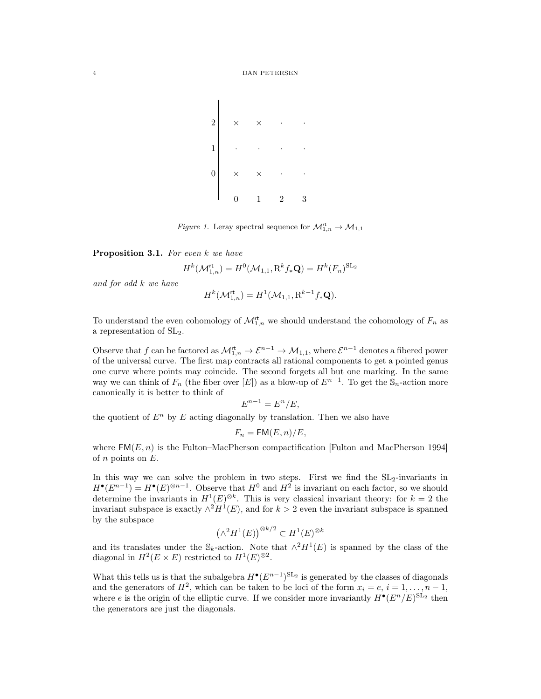

Figure 1. Leray spectral sequence for  $\mathcal{M}_{1,n}^{\mathsf{rt}} \to \mathcal{M}_{1,1}$ 

Proposition 3.1. For even k we have

$$
H^k(\mathcal{M}_{1,n}^{\mathsf{rt}}) = H^0(\mathcal{M}_{1,1}, \mathbf{R}^k f_* \mathbf{Q}) = H^k(F_n)^{\mathrm{SL}_2}
$$

and for odd k we have

$$
H^k(\mathcal{M}_{1,n}^{\mathsf{rt}}) = H^1(\mathcal{M}_{1,1}, \mathbf{R}^{k-1} f_* \mathbf{Q}).
$$

To understand the even cohomology of  $\mathcal{M}_{1,n}^{\mathsf{rt}}$  we should understand the cohomology of  $F_n$  as a representation of SL2.

Observe that f can be factored as  $\mathcal{M}_{1,n}^{\mathsf{rt}} \to \mathcal{E}^{n-1} \to \mathcal{M}_{1,1}$ , where  $\mathcal{E}^{n-1}$  denotes a fibered power of the universal curve. The first map contracts all rational components to get a pointed genus one curve where points may coincide. The second forgets all but one marking. In the same way we can think of  $F_n$  (the fiber over [E]) as a blow-up of  $E^{n-1}$ . To get the  $\mathbb{S}_n$ -action more canonically it is better to think of

$$
E^{n-1} = E^n / E,
$$

the quotient of  $E<sup>n</sup>$  by E acting diagonally by translation. Then we also have

$$
F_n = \mathsf{FM}(E,n)/E,
$$

where  $FM(E, n)$  is the Fulton–MacPherson compactification [Fulton and MacPherson 1994] of  $n$  points on  $E$ .

In this way we can solve the problem in two steps. First we find the  $SL_2$ -invariants in  $H^{\bullet}(E^{n-1}) = H^{\bullet}(E)^{\otimes n-1}$ . Observe that  $H^0$  and  $H^2$  is invariant on each factor, so we should determine the invariants in  $H^1(E)^{\otimes k}$ . This is very classical invariant theory: for  $k=2$  the invariant subspace is exactly  $\wedge^2 H^1(E)$ , and for  $k > 2$  even the invariant subspace is spanned by the subspace

$$
\left(\wedge^2 H^1(E)\right)^{\otimes k/2} \subset H^1(E)^{\otimes k}
$$

and its translates under the  $\mathcal{S}_k$ -action. Note that  $\wedge^2 H^1(E)$  is spanned by the class of the diagonal in  $H^2(E \times E)$  restricted to  $H^1(E)^{\otimes 2}$ .

What this tells us is that the subalgebra  $H^{\bullet}(E^{n-1})^{\text{SL}_2}$  is generated by the classes of diagonals and the generators of  $H^2$ , which can be taken to be loci of the form  $x_i = e, i = 1, ..., n-1$ , where e is the origin of the elliptic curve. If we consider more invariantly  $H^{\bullet}(E^n/E)^{\text{SL}_2}$  then the generators are just the diagonals.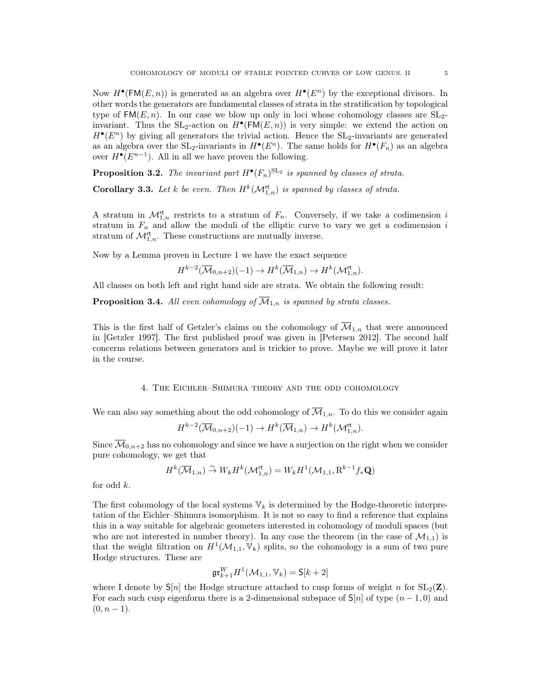Now  $H^{\bullet}(\mathsf{FM}(E,n))$  is generated as an algebra over  $H^{\bullet}(E^n)$  by the exceptional divisors. In other words the generators are fundamental classes of strata in the stratification by topological type of  $FM(E, n)$ . In our case we blow up only in loci whose cohomology classes are  $SL<sub>2</sub>$ invariant. Thus the  $SL_2$ -action on  $H^{\bullet}(\mathsf{FM}(E,n))$  is very simple: we extend the action on  $H^{\bullet}(E^n)$  by giving all generators the trivial action. Hence the SL<sub>2</sub>-invariants are generated as an algebra over the  $SL_2$ -invariants in  $H^{\bullet}(E^n)$ . The same holds for  $H^{\bullet}(F_n)$  as an algebra over  $H^{\bullet}(E^{n-1})$ . All in all we have proven the following.

**Proposition 3.2.** The invariant part  $H^{\bullet}(F_n)^{\mathrm{SL}_2}$  is spanned by classes of strata. **Corollary 3.3.** Let k be even. Then  $H^k(\mathcal{M}_{1,n}^{\mathsf{rt}})$  is spanned by classes of strata.

A stratum in  $\mathcal{M}_{1,n}^{\mathsf{rt}}$  restricts to a stratum of  $F_n$ . Conversely, if we take a codimension i stratum in  $F_n$  and allow the moduli of the elliptic curve to vary we get a codimension i stratum of  $\mathcal{M}_{1,n}^{\mathsf{rt}}$ . These constructions are mutually inverse.

Now by a Lemma proven in Lecture 1 we have the exact sequence

$$
H^{k-2}(\overline{\mathcal{M}}_{0,n+2})(-1) \to H^k(\overline{\mathcal{M}}_{1,n}) \to H^k(\mathcal{M}_{1,n}^{\mathsf{rt}}).
$$

All classes on both left and right hand side are strata. We obtain the following result:

**Proposition 3.4.** All even cohomology of  $\overline{\mathcal{M}}_{1,n}$  is spanned by strata classes.

This is the first half of Getzler's claims on the cohomology of  $\overline{\mathcal{M}}_{1,n}$  that were announced in [Getzler 1997]. The first published proof was given in [Petersen 2012]. The second half concerns relations between generators and is trickier to prove. Maybe we will prove it later in the course.

### 4. The Eichler–Shimura theory and the odd cohomology

We can also say something about the odd cohomology of  $\overline{\mathcal{M}}_{1,n}$ . To do this we consider again

$$
H^{k-2}(\overline{\mathcal{M}}_{0,n+2})(-1) \to H^k(\overline{\mathcal{M}}_{1,n}) \to H^k(\mathcal{M}_{1,n}^{\mathsf{rt}}).
$$

Since  $\overline{\mathcal{M}}_{0,n+2}$  has no cohomology and since we have a surjection on the right when we consider pure cohomology, we get that

$$
H^k(\overline{\mathcal{M}}_{1,n}) \overset{\sim}{\to} W_k H^k(\mathcal{M}_{1,n}^{\mathsf{rt}}) = W_k H^1(\mathcal{M}_{1,1}, \mathbf{R}^{k-1} f_* \mathbf{Q})
$$

for odd k.

The first cohomology of the local systems  $\mathbb{V}_k$  is determined by the Hodge-theoretic interpretation of the Eichler–Shimura isomorphism. It is not so easy to find a reference that explains this in a way suitable for algebraic geometers interested in cohomology of moduli spaces (but who are not interested in number theory). In any case the theorem (in the case of  $\mathcal{M}_{1,1}$ ) is that the weight filtration on  $H^1(\mathcal{M}_{1,1}, V_k)$  splits, so the cohomology is a sum of two pure Hodge structures. These are

$$
\mathfrak{gr}^W_{k+1}H^1(\mathcal{M}_{1,1},\mathbb{V}_k)=\mathsf{S}[k+2]
$$

where I denote by  $S[n]$  the Hodge structure attached to cusp forms of weight n for  $SL_2(\mathbf{Z})$ . For each such cusp eigenform there is a 2-dimensional subspace of  $\mathsf{S}[n]$  of type  $(n-1,0)$  and  $(0, n - 1).$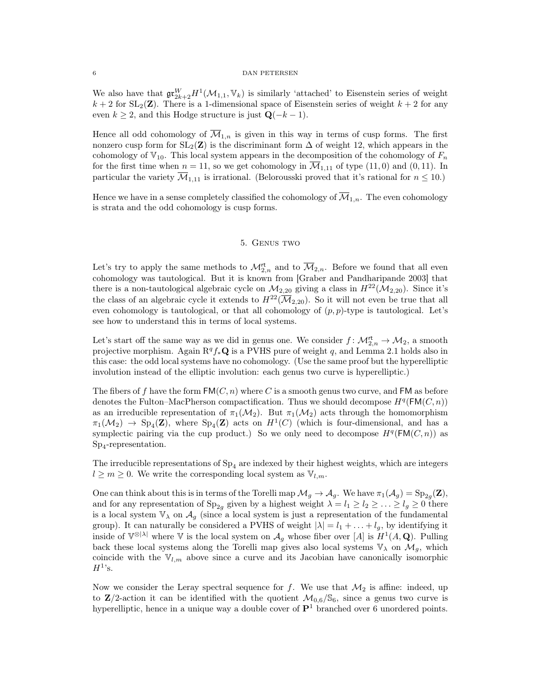We also have that  $\mathfrak{gr}^W_{2k+2}H^1(\mathcal{M}_{1,1}, \mathbb{V}_k)$  is similarly 'attached' to Eisenstein series of weight  $k + 2$  for SL<sub>2</sub>(Z). There is a 1-dimensional space of Eisenstein series of weight  $k + 2$  for any even  $k \geq 2$ , and this Hodge structure is just  $\mathbf{Q}(-k-1)$ .

Hence all odd cohomology of  $\overline{\mathcal{M}}_{1,n}$  is given in this way in terms of cusp forms. The first nonzero cusp form for  $SL_2(\mathbf{Z})$  is the discriminant form  $\Delta$  of weight 12, which appears in the cohomology of  $V_{10}$ . This local system appears in the decomposition of the cohomology of  $F_n$ for the first time when  $n = 11$ , so we get cohomology in  $\overline{\mathcal{M}}_{1,11}$  of type (11,0) and (0, 11). In particular the variety  $\overline{\mathcal{M}}_{1,11}$  is irrational. (Belorousski proved that it's rational for  $n \leq 10$ .)

Hence we have in a sense completely classified the cohomology of  $\overline{\mathcal{M}}_{1,n}$ . The even cohomology is strata and the odd cohomology is cusp forms.

# 5. Genus two

Let's try to apply the same methods to  $\mathcal{M}_{2,n}^{\mathsf{rt}}$  and to  $\overline{\mathcal{M}}_{2,n}$ . Before we found that all even cohomology was tautological. But it is known from [Graber and Pandharipande 2003] that there is a non-tautological algebraic cycle on  $\mathcal{M}_{2,20}$  giving a class in  $H^{22}(\mathcal{M}_{2,20})$ . Since it's the class of an algebraic cycle it extends to  $H^{22}(\overline{\mathcal{M}}_{2,20})$ . So it will not even be true that all even cohomology is tautological, or that all cohomology of  $(p, p)$ -type is tautological. Let's see how to understand this in terms of local systems.

Let's start off the same way as we did in genus one. We consider  $f: \mathcal{M}_{2,n}^{\mathsf{rt}} \to \mathcal{M}_2$ , a smooth projective morphism. Again  $\mathbb{R}^q f_*\mathbb{Q}$  is a PVHS pure of weight q, and Lemma 2.1 holds also in this case: the odd local systems have no cohomology. (Use the same proof but the hyperelliptic involution instead of the elliptic involution: each genus two curve is hyperelliptic.)

The fibers of f have the form  $FM(C, n)$  where C is a smooth genus two curve, and FM as before denotes the Fulton–MacPherson compactification. Thus we should decompose  $H^q(\mathsf{FM}(C,n))$ as an irreducible representation of  $\pi_1(\mathcal{M}_2)$ . But  $\pi_1(\mathcal{M}_2)$  acts through the homomorphism  $\pi_1(\mathcal{M}_2) \to Sp_4(\mathbf{Z})$ , where  $Sp_4(\mathbf{Z})$  acts on  $H^1(C)$  (which is four-dimensional, and has a symplectic pairing via the cup product.) So we only need to decompose  $H^q(\mathsf{FM}(C,n))$  as Sp<sup>4</sup> -representation.

The irreducible representations of  $Sp<sub>4</sub>$  are indexed by their highest weights, which are integers  $l \geq m \geq 0$ . We write the corresponding local system as  $\mathbb{V}_{l,m}$ .

One can think about this is in terms of the Torelli map  $\mathcal{M}_g \to \mathcal{A}_g$ . We have  $\pi_1(\mathcal{A}_g) = \text{Sp}_{2g}(\mathbf{Z}),$ and for any representation of  $Sp_{2q}$  given by a highest weight  $\lambda = l_1 \geq l_2 \geq \ldots \geq l_g \geq 0$  there is a local system  $\mathbb{V}_{\lambda}$  on  $\mathcal{A}_{q}$  (since a local system is just a representation of the fundamental group). It can naturally be considered a PVHS of weight  $|\lambda| = l_1 + ... + l_g$ , by identifying it inside of  $V^{\otimes |\lambda|}$  where V is the local system on  $\mathcal{A}_g$  whose fiber over [A] is  $H^1(A, \mathbf{Q})$ . Pulling back these local systems along the Torelli map gives also local systems  $\mathbb{V}_{\lambda}$  on  $\mathcal{M}_g$ , which coincide with the  $V_{l,m}$  above since a curve and its Jacobian have canonically isomorphic  $H^1$ 's.

Now we consider the Leray spectral sequence for f. We use that  $\mathcal{M}_2$  is affine: indeed, up to  $\mathbb{Z}/2$ -action it can be identified with the quotient  $\mathcal{M}_{0.6}/\mathbb{S}_6$ , since a genus two curve is hyperelliptic, hence in a unique way a double cover of  $\mathbf{P}^1$  branched over 6 unordered points.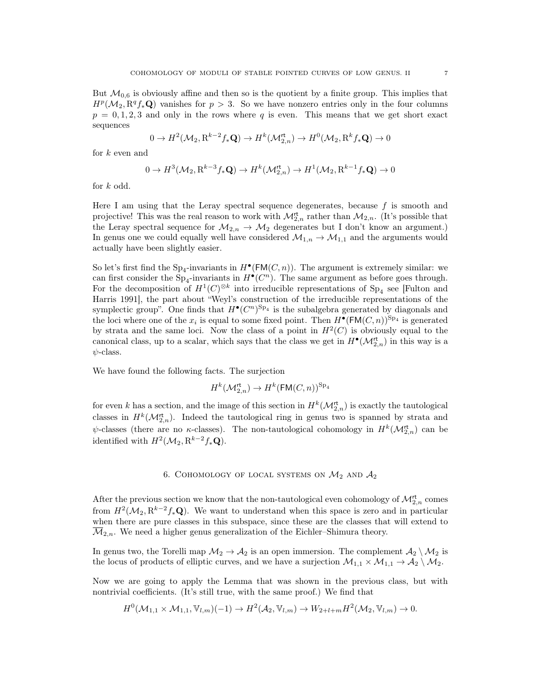But  $\mathcal{M}_{0,6}$  is obviously affine and then so is the quotient by a finite group. This implies that  $H^p(\mathcal{M}_2, \mathbb{R}^q f_* \mathbf{Q})$  vanishes for  $p > 3$ . So we have nonzero entries only in the four columns  $p = 0, 1, 2, 3$  and only in the rows where q is even. This means that we get short exact sequences

$$
0 \to H^2(\mathcal{M}_2, \mathbf{R}^{k-2} f_*\mathbf{Q}) \to H^k(\mathcal{M}_{2,n}^{\mathsf{rt}}) \to H^0(\mathcal{M}_2, \mathbf{R}^k f_*\mathbf{Q}) \to 0
$$

for k even and

$$
0 \to H^3(\mathcal{M}_2, \mathbf{R}^{k-3} f_*\mathbf{Q}) \to H^k(\mathcal{M}_{2,n}^{\mathsf{rt}}) \to H^1(\mathcal{M}_2, \mathbf{R}^{k-1} f_*\mathbf{Q}) \to 0
$$

for k odd.

Here I am using that the Leray spectral sequence degenerates, because  $f$  is smooth and projective! This was the real reason to work with  $\mathcal{M}_{2,n}^{\mathsf{rt}}$  rather than  $\mathcal{M}_{2,n}$ . (It's possible that the Leray spectral sequence for  $M_{2,n} \to M_2$  degenerates but I don't know an argument.) In genus one we could equally well have considered  $\mathcal{M}_{1,n} \to \mathcal{M}_{1,1}$  and the arguments would actually have been slightly easier.

So let's first find the  $Sp_4$ -invariants in  $H^{\bullet}(\mathsf{FM}(C,n))$ . The argument is extremely similar: we can first consider the Sp<sub>4</sub>-invariants in  $H^{\bullet}(C^n)$ . The same argument as before goes through. For the decomposition of  $H^1(C)^{\otimes k}$  into irreducible representations of S<sub>P<sub>4</sub></sub> see [Fulton and Harris 1991], the part about "Weyl's construction of the irreducible representations of the symplectic group". One finds that  $H^{\bullet}(C^n)^{\text{Sp}_4}$  is the subalgebra generated by diagonals and the loci where one of the  $x_i$  is equal to some fixed point. Then  $H^{\bullet}(\mathsf{FM}(C,n))^{\mathsf{Sp}_4}$  is generated by strata and the same loci. Now the class of a point in  $H^2(C)$  is obviously equal to the canonical class, up to a scalar, which says that the class we get in  $H^{\bullet}(\mathcal{M}_{2,n}^{\mathsf{rt}})$  in this way is a  $\psi$ -class.

We have found the following facts. The surjection

$$
H^k(\mathcal{M}_{2,n}^\mathsf{rt}) \to H^k(\mathsf{FM}(C,n))^{\mathsf{Sp}_4}
$$

for even k has a section, and the image of this section in  $H^k(\mathcal{M}_{2,n}^{rt})$  is exactly the tautological classes in  $H^k(\mathcal{M}_{2,n}^{\mathsf{rt}})$ . Indeed the tautological ring in genus two is spanned by strata and  $\psi$ -classes (there are no  $\kappa$ -classes). The non-tautological cohomology in  $H^k(\mathcal{M}_{2,n}^{\mathsf{rt}})$  can be identified with  $H^2(\mathcal{M}_2, \mathbf{R}^{k-2} f_* \mathbf{Q})$ .

# 6. COHOMOLOGY OF LOCAL SYSTEMS ON  $\mathcal{M}_2$  and  $\mathcal{A}_2$

After the previous section we know that the non-tautological even cohomology of  $\mathcal{M}_{2,n}^{\mathsf{rt}}$  comes from  $H^2(\mathcal{M}_2, \mathbb{R}^{k-2} f_* \mathbf{Q})$ . We want to understand when this space is zero and in particular when there are pure classes in this subspace, since these are the classes that will extend to  $\overline{\mathcal{M}}_{2,n}$ . We need a higher genus generalization of the Eichler–Shimura theory.

In genus two, the Torelli map  $\mathcal{M}_2 \to \mathcal{A}_2$  is an open immersion. The complement  $\mathcal{A}_2 \setminus \mathcal{M}_2$  is the locus of products of elliptic curves, and we have a surjection  $\mathcal{M}_{1,1} \times \mathcal{M}_{1,1} \to \mathcal{A}_2 \setminus \mathcal{M}_2$ .

Now we are going to apply the Lemma that was shown in the previous class, but with nontrivial coefficients. (It's still true, with the same proof.) We find that

$$
H^{0}(\mathcal{M}_{1,1} \times \mathcal{M}_{1,1}, \mathbb{V}_{l,m})(-1) \to H^{2}(\mathcal{A}_{2}, \mathbb{V}_{l,m}) \to W_{2+l+m}H^{2}(\mathcal{M}_{2}, \mathbb{V}_{l,m}) \to 0.
$$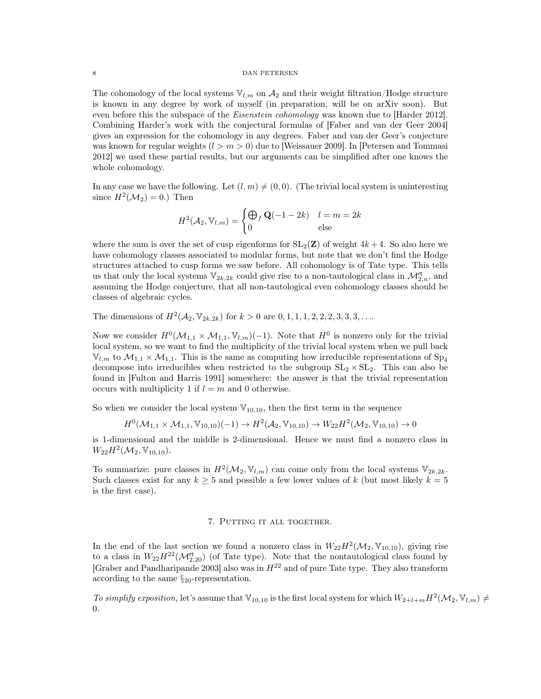The cohomology of the local systems  $V_{l,m}$  on  $\mathcal{A}_2$  and their weight filtration/Hodge structure is known in any degree by work of myself (in preparation, will be on arXiv soon). But even before this the subspace of the *Eisenstein cohomology* was known due to [Harder 2012]. Combining Harder's work with the conjectural formulas of [Faber and van der Geer 2004] gives an expression for the cohomology in any degrees. Faber and van der Geer's conjecture was known for regular weights  $(l > m > 0)$  due to [Weissauer 2009]. In [Petersen and Tommasi 2012] we used these partial results, but our arguments can be simplified after one knows the whole cohomology.

In any case we have the following. Let  $(l, m) \neq (0, 0)$ . (The trivial local system is uninteresting since  $H^2(\mathcal{M}_2)=0.$ ) Then

$$
H^{2}(\mathcal{A}_{2}, \mathbb{V}_{l,m}) = \begin{cases} \bigoplus_{f} \mathbf{Q}(-1 - 2k) & l = m = 2k\\ 0 & \text{else} \end{cases}
$$

where the sum is over the set of cusp eigenforms for  $SL_2(\mathbf{Z})$  of weight  $4k+4$ . So also here we have cohomology classes associated to modular forms, but note that we don't find the Hodge structures attached to cusp forms we saw before. All cohomology is of Tate type. This tells us that only the local systems  $\mathbb{V}_{2k,2k}$  could give rise to a non-tautological class in  $\mathcal{M}_{2,n}^{\mathsf{rt}}$ , and assuming the Hodge conjecture, that all non-tautological even cohomology classes should be classes of algebraic cycles.

The dimensions of  $H^2(\mathcal{A}_2, \mathbb{V}_{2k,2k})$  for  $k > 0$  are  $0, 1, 1, 1, 2, 2, 2, 3, 3, 3, \ldots$ 

Now we consider  $H^0(\mathcal{M}_{1,1} \times \mathcal{M}_{1,1}, \mathbb{V}_{l,m})(-1)$ . Note that  $H^0$  is nonzero only for the trivial local system, so we want to find the multiplicity of the trivial local system when we pull back  $\mathbb{V}_{l,m}$  to  $\mathcal{M}_{1,1} \times \mathcal{M}_{1,1}$ . This is the same as computing how irreducible representations of  $Sp_4$ decompose into irreducibles when restricted to the subgroup  $SL_2 \times SL_2$ . This can also be found in [Fulton and Harris 1991] somewhere: the answer is that the trivial representation occurs with multiplicity 1 if  $l = m$  and 0 otherwise.

So when we consider the local system  $\mathbb{V}_{10,10}$ , then the first term in the sequence

$$
H^{0}(\mathcal{M}_{1,1} \times \mathcal{M}_{1,1}, \mathbb{V}_{10,10})(-1) \to H^{2}(\mathcal{A}_{2}, \mathbb{V}_{10,10}) \to W_{22}H^{2}(\mathcal{M}_{2}, \mathbb{V}_{10,10}) \to 0
$$

is 1-dimensional and the middle is 2-dimensional. Hence we must find a nonzero class in  $W_{22}H^2(\mathcal{M}_2, V_{10,10}).$ 

To summarize: pure classes in  $H^2(\mathcal{M}_2, \mathbb{V}_{l,m})$  can come only from the local systems  $\mathbb{V}_{2k,2k}$ . Such classes exist for any  $k \geq 5$  and possible a few lower values of k (but most likely  $k = 5$ ) is the first case).

## 7. PUTTING IT ALL TOGETHER.

In the end of the last section we found a nonzero class in  $W_{22}H^2(\mathcal{M}_2, V_{10,10})$ , giving rise to a class in  $W_{22}H^{22}(\mathcal{M}_{2,20}^{rt})$  (of Tate type). Note that the nontautological class found by [Graber and Pandharipande 2003] also was in  $H^{22}$  and of pure Tate type. They also transform according to the same §20-representation.

To simplify exposition, let's assume that  $\mathbb{V}_{10,10}$  is the first local system for which  $W_{2+l+m}H^2(\mathcal{M}_2, \mathbb{V}_{l,m})\neq$ 0.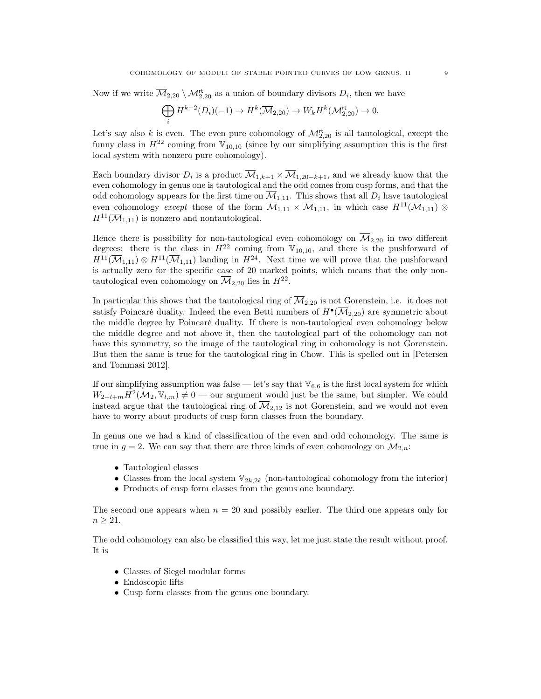Now if we write  $\overline{\mathcal{M}}_{2,20} \setminus \mathcal{M}_{2,20}^{\mathsf{rt}}$  as a union of boundary divisors  $D_i$ , then we have

$$
\bigoplus_i H^{k-2}(D_i)(-1) \to H^k(\overline{\mathcal{M}}_{2,20}) \to W_k H^k(\mathcal{M}_{2,20}^\mathsf{rt}) \to 0.
$$

Let's say also k is even. The even pure cohomology of  $\mathcal{M}_{2,20}^{\mathsf{rt}}$  is all tautological, except the funny class in  $H^{22}$  coming from  $\mathbb{V}_{10,10}$  (since by our simplifying assumption this is the first local system with nonzero pure cohomology).

Each boundary divisor  $D_i$  is a product  $\overline{\mathcal{M}}_{1,k+1} \times \overline{\mathcal{M}}_{1,20-k+1}$ , and we already know that the even cohomology in genus one is tautological and the odd comes from cusp forms, and that the odd cohomology appears for the first time on  $\overline{\mathcal{M}}_{1,11}$ . This shows that all  $D_i$  have tautological even cohomology except those of the form  $\overline{\mathcal{M}}_{1,11} \times \overline{\mathcal{M}}_{1,11}$ , in which case  $H^{11}(\overline{\mathcal{M}}_{1,11})$  $H^{11}(\overline{\mathcal{M}}_{1,11})$  is nonzero and nontautological.

Hence there is possibility for non-tautological even cohomology on  $\overline{\mathcal{M}}_{2,20}$  in two different degrees: there is the class in  $H^{22}$  coming from  $V_{10,10}$ , and there is the pushforward of  $H^{11}(\overline{\mathcal{M}}_{1,11})\otimes H^{11}(\overline{\mathcal{M}}_{1,11})$  landing in  $H^{24}$ . Next time we will prove that the pushforward is actually zero for the specific case of 20 marked points, which means that the only nontautological even cohomology on  $\overline{\mathcal{M}}_{2,20}$  lies in  $H^{22}$ .

In particular this shows that the tautological ring of  $\overline{\mathcal{M}}_{2,20}$  is not Gorenstein, i.e. it does not satisfy Poincaré duality. Indeed the even Betti numbers of  $H^{\bullet}(\overline{\mathcal{M}}_{2,20})$  are symmetric about the middle degree by Poincaré duality. If there is non-tautological even cohomology below the middle degree and not above it, then the tautological part of the cohomology can not have this symmetry, so the image of the tautological ring in cohomology is not Gorenstein. But then the same is true for the tautological ring in Chow. This is spelled out in [Petersen and Tommasi 2012].

If our simplifying assumption was false — let's say that  $\mathbb{V}_{6,6}$  is the first local system for which  $W_{2+l+m} \overline{H}^2(M_2, \mathbb{V}_{l,m}) \neq 0$  — our argument would just be the same, but simpler. We could instead argue that the tautological ring of  $M_{2,12}$  is not Gorenstein, and we would not even have to worry about products of cusp form classes from the boundary.

In genus one we had a kind of classification of the even and odd cohomology. The same is true in  $g = 2$ . We can say that there are three kinds of even cohomology on  $\overline{\mathcal{M}}_{2,n}$ :

- Tautological classes
- Classes from the local system  $\mathbb{V}_{2k,2k}$  (non-tautological cohomology from the interior)
- Products of cusp form classes from the genus one boundary.

The second one appears when  $n = 20$  and possibly earlier. The third one appears only for  $n \geq 21$ .

The odd cohomology can also be classified this way, let me just state the result without proof. It is

- Classes of Siegel modular forms
- Endoscopic lifts
- Cusp form classes from the genus one boundary.